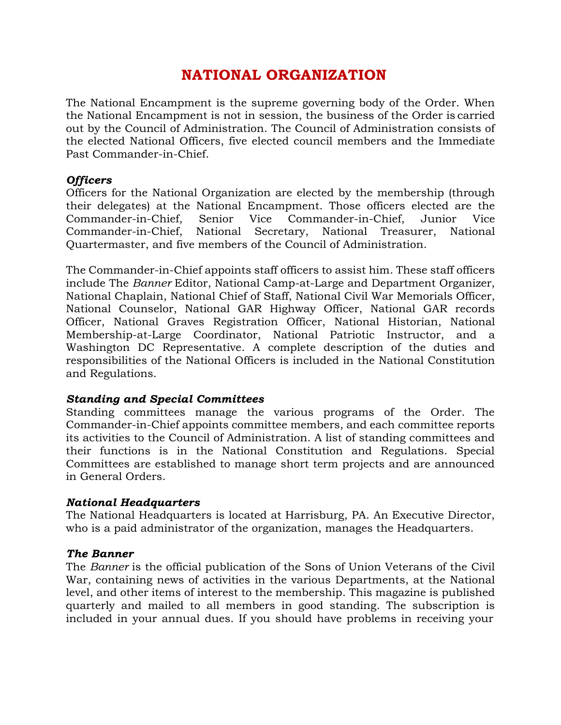# **NATIONAL ORGANIZATION**

The National Encampment is the supreme governing body of the Order. When the National Encampment is not in session, the business of the Order is carried out by the Council of Administration. The Council of Administration consists of the elected National Officers, five elected council members and the Immediate Past Commander-in-Chief.

### *Officers*

Officers for the National Organization are elected by the membership (through their delegates) at the National Encampment. Those officers elected are the Commander-in-Chief, Senior Vice Commander-in-Chief, Junior Vice Commander-in-Chief, National Secretary, National Treasurer, National Quartermaster, and five members of the Council of Administration.

The Commander-in-Chief appoints staff officers to assist him. These staff officers include The *Banner* Editor, National Camp-at-Large and Department Organizer, National Chaplain, National Chief of Staff, National Civil War Memorials Officer, National Counselor, National GAR Highway Officer, National GAR records Officer, National Graves Registration Officer, National Historian, National Membership-at-Large Coordinator, National Patriotic Instructor, and a Washington DC Representative. A complete description of the duties and responsibilities of the National Officers is included in the National Constitution and Regulations.

### *Standing and Special Committees*

Standing committees manage the various programs of the Order. The Commander-in-Chief appoints committee members, and each committee reports its activities to the Council of Administration. A list of standing committees and their functions is in the National Constitution and Regulations. Special Committees are established to manage short term projects and are announced in General Orders.

### *National Headquarters*

The National Headquarters is located at Harrisburg, PA. An Executive Director, who is a paid administrator of the organization, manages the Headquarters.

### *The Banner*

The *Banner* is the official publication of the Sons of Union Veterans of the Civil War, containing news of activities in the various Departments, at the National level, and other items of interest to the membership. This magazine is published quarterly and mailed to all members in good standing. The subscription is included in your annual dues. If you should have problems in receiving your